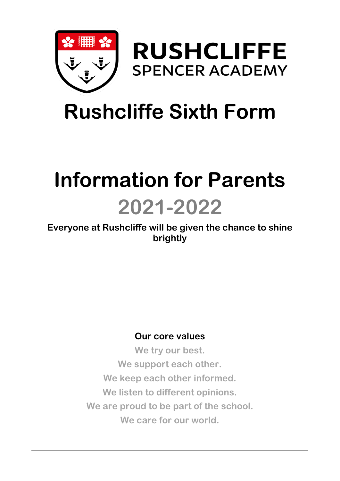



# **Rushcliffe Sixth Form**

## **Information for Parents**

## **2021-2022**

### **Everyone at Rushcliffe will be given the chance to shine brightly**

### **Our core values**

**We try our best. We support each other. We keep each other informed. We listen to different opinions. We are proud to be part of the school. We care for our world.**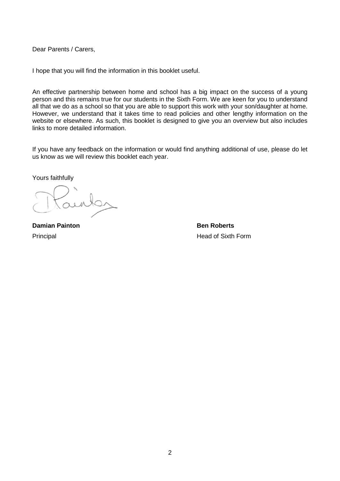Dear Parents / Carers,

I hope that you will find the information in this booklet useful.

An effective partnership between home and school has a big impact on the success of a young person and this remains true for our students in the Sixth Form. We are keen for you to understand all that we do as a school so that you are able to support this work with your son/daughter at home. However, we understand that it takes time to read policies and other lengthy information on the website or elsewhere. As such, this booklet is designed to give you an overview but also includes links to more detailed information.

If you have any feedback on the information or would find anything additional of use, please do let us know as we will review this booklet each year.

Yours faithfully

**Damian Painton Ben Roberts Ben Roberts** Principal **Head of Sixth Form**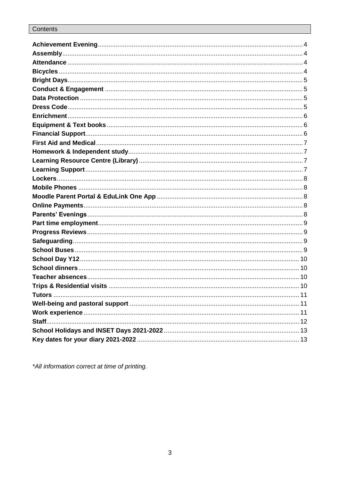| <b>Tutors</b> | 11 |
|---------------|----|
|               |    |
|               |    |
|               |    |
|               |    |
|               |    |

\*All information correct at time of printing.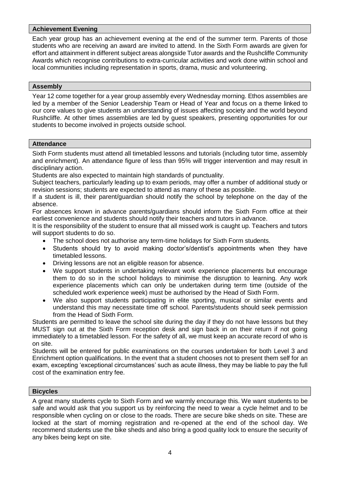#### <span id="page-3-0"></span>**Achievement Evening**

Each year group has an achievement evening at the end of the summer term. Parents of those students who are receiving an award are invited to attend. In the Sixth Form awards are given for effort and attainment in different subject areas alongside Tutor awards and the Rushcliffe Community Awards which recognise contributions to extra-curricular activities and work done within school and local communities including representation in sports, drama, music and volunteering.

#### <span id="page-3-1"></span>**Assembly**

Year 12 come together for a year group assembly every Wednesday morning. Ethos assemblies are led by a member of the Senior Leadership Team or Head of Year and focus on a theme linked to our core values to give students an understanding of issues affecting society and the world beyond Rushcliffe. At other times assemblies are led by guest speakers, presenting opportunities for our students to become involved in projects outside school.

#### <span id="page-3-2"></span>**Attendance**

Sixth Form students must attend all timetabled lessons and tutorials (including tutor time, assembly and enrichment). An attendance figure of less than 95% will trigger intervention and may result in disciplinary action.

Students are also expected to maintain high standards of punctuality.

Subject teachers, particularly leading up to exam periods, may offer a number of additional study or revision sessions; students are expected to attend as many of these as possible.

If a student is ill, their parent/guardian should notify the school by telephone on the day of the absence.

For absences known in advance parents/guardians should inform the Sixth Form office at their earliest convenience and students should notify their teachers and tutors in advance.

It is the responsibility of the student to ensure that all missed work is caught up. Teachers and tutors will support students to do so.

- The school does not authorise any term-time holidays for Sixth Form students.
- Students should try to avoid making doctor's/dentist's appointments when they have timetabled lessons.
- Driving lessons are not an eligible reason for absence.
- We support students in undertaking relevant work experience placements but encourage them to do so in the school holidays to minimise the disruption to learning. Any work experience placements which can only be undertaken during term time (outside of the scheduled work experience week) must be authorised by the Head of Sixth Form.
- We also support students participating in elite sporting, musical or similar events and understand this may necessitate time off school. Parents/students should seek permission from the Head of Sixth Form.

Students are permitted to leave the school site during the day if they do not have lessons but they MUST sign out at the Sixth Form reception desk and sign back in on their return if not going immediately to a timetabled lesson. For the safety of all, we must keep an accurate record of who is on site.

Students will be entered for public examinations on the courses undertaken for both Level 3 and Enrichment option qualifications. In the event that a student chooses not to present them self for an exam, excepting 'exceptional circumstances' such as acute illness, they may be liable to pay the full cost of the examination entry fee.

#### <span id="page-3-3"></span>**Bicycles**

A great many students cycle to Sixth Form and we warmly encourage this. We want students to be safe and would ask that you support us by reinforcing the need to wear a cycle helmet and to be responsible when cycling on or close to the roads. There are secure bike sheds on site. These are locked at the start of morning registration and re-opened at the end of the school day. We recommend students use the bike sheds and also bring a good quality lock to ensure the security of any bikes being kept on site.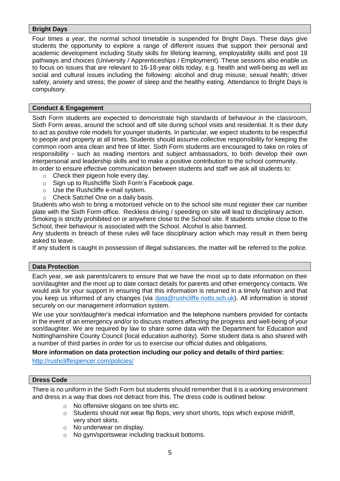#### <span id="page-4-0"></span>**Bright Days**

Four times a year, the normal school timetable is suspended for Bright Days. These days give students the opportunity to explore a range of different issues that support their personal and academic development including Study skills for lifelong learning, employability skills and post 18 pathways and choices (University / Apprenticeships / Employment). These sessions also enable us to focus on issues that are relevant to 16-18-year olds today, e.g. health and well-being as well as social and cultural issues including the following: alcohol and drug misuse; sexual health; driver safety, anxiety and stress; the power of sleep and the healthy eating. Attendance to Bright Days is compulsory.

#### <span id="page-4-1"></span>**Conduct & Engagement**

Sixth Form students are expected to demonstrate high standards of behaviour in the classroom, Sixth Form areas, around the school and off site during school visits and residential. It is their duty to act as positive role models for younger students. In particular, we expect students to be respectful to people and property at all times. Students should assume collective responsibility for keeping the common room area clean and free of litter. Sixth Form students are encouraged to take on roles of responsibility - such as reading mentors and subject ambassadors, to both develop their own interpersonal and leadership skills and to make a positive contribution to the school community. In order to ensure effective communication between students and staff we ask all students to:

- o Check their pigeon hole every day.
- o Sign up to Rushcliffe Sixth Form's Facebook page.
- o Use the Rushcliffe e-mail system.
- o Check Satchel One on a daily basis.

Students who wish to bring a motorised vehicle on to the school site must register their car number plate with the Sixth Form office. Reckless driving / speeding on site will lead to disciplinary action. Smoking is strictly prohibited on or anywhere close to the School site. If students smoke close to the

School, their behaviour is associated with the School. Alcohol is also banned.

Any students in breach of these rules will face disciplinary action which may result in them being asked to leave.

If any student is caught in possession of illegal substances, the matter will be referred to the police.

#### <span id="page-4-2"></span>**Data Protection**

Each year, we ask parents/carers to ensure that we have the most up to date information on their son/daughter and the most up to date contact details for parents and other emergency contacts. We would ask for your support in ensuring that this information is returned in a timely fashion and that you keep us informed of any changes (via [data@rushcliffe.notts.sch.uk\)](mailto:data@rushcliffe.notts.sch.uk). All information is stored securely on our management information system.

We use your son/daughter's medical information and the telephone numbers provided for contacts in the event of an emergency and/or to discuss matters affecting the progress and well-being of your son/daughter. We are required by law to share some data with the Department for Education and Nottinghamshire County Council (local education authority). Some student data is also shared with a number of third parties in order for us to exercise our official duties and obligations.

#### **More information on data protection including our policy and details of third parties:**

<http://rushcliffespencer.com/policies/>

#### <span id="page-4-3"></span>**Dress Code**

There is no uniform in the Sixth Form but students should remember that it is a working environment and dress in a way that does not detract from this. The dress code is outlined below:

- o No offensive slogans on tee shirts etc.
- o Students should not wear flip flops, very short shorts, tops which expose midriff, very short skirts.
- o No underwear on display.
- o No gym/sportswear including tracksuit bottoms.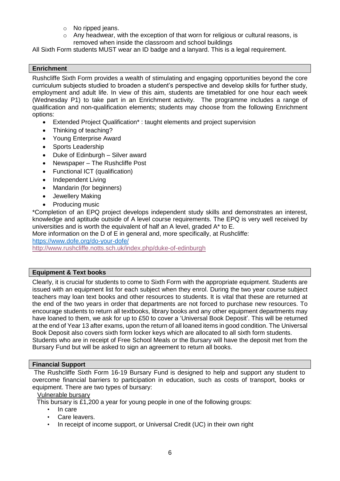- o No ripped jeans.
- o Any headwear, with the exception of that worn for religious or cultural reasons, is removed when inside the classroom and school buildings

All Sixth Form students MUST wear an ID badge and a lanyard. This is a legal requirement.

#### <span id="page-5-0"></span>**Enrichment**

Rushcliffe Sixth Form provides a wealth of stimulating and engaging opportunities beyond the core curriculum subjects studied to broaden a student's perspective and develop skills for further study, employment and adult life. In view of this aim, students are timetabled for one hour each week (Wednesday P1) to take part in an Enrichment activity. The programme includes a range of qualification and non-qualification elements; students may choose from the following Enrichment options:

- Extended Project Qualification\* : taught elements and project supervision
- Thinking of teaching?
- Young Enterprise Award
- Sports Leadership
- Duke of Edinburgh Silver award
- Newspaper The Rushcliffe Post
- Functional ICT (qualification)
- Independent Living
- Mandarin (for beginners)
- Jewellery Making
- Producing music

\*Completion of an EPQ project develops independent study skills and demonstrates an interest, knowledge and aptitude outside of A level course requirements. The EPQ is very well received by universities and is worth the equivalent of half an A level, graded A\* to E.

More information on the D of E in general and, more specifically, at Rushcliffe:

<https://www.dofe.org/do-your-dofe/>

<http://www.rushcliffe.notts.sch.uk/index.php/duke-of-edinburgh>

#### <span id="page-5-1"></span>**Equipment & Text books**

Clearly, it is crucial for students to come to Sixth Form with the appropriate equipment. Students are issued with an equipment list for each subject when they enrol. During the two year course subject teachers may loan text books and other resources to students. It is vital that these are returned at the end of the two years in order that departments are not forced to purchase new resources. To encourage students to return all textbooks, library books and any other equipment departments may have loaned to them, we ask for up to £50 to cover a 'Universal Book Deposit'. This will be returned at the end of Year 13 after exams, upon the return of all loaned items in good condition. The Universal Book Deposit also covers sixth form locker keys which are allocated to all sixth form students. Students who are in receipt of Free School Meals or the Bursary will have the deposit met from the Bursary Fund but will be asked to sign an agreement to return all books.

#### <span id="page-5-2"></span>**Financial Support**

The Rushcliffe Sixth Form 16-19 Bursary Fund is designed to help and support any student to overcome financial barriers to participation in education, such as costs of transport, books or equipment. There are two types of bursary:

#### Vulnerable bursary

This bursary is £1,200 a year for young people in one of the following groups:

- In care
- Care leavers.
- In receipt of income support, or Universal Credit (UC) in their own right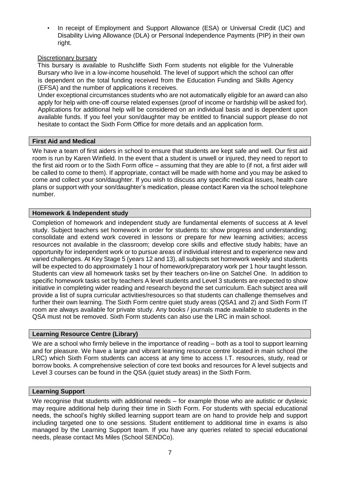In receipt of Employment and Support Allowance (ESA) or Universal Credit (UC) and Disability Living Allowance (DLA) or Personal Independence Payments (PIP) in their own right.

#### Discretionary bursary

This bursary is available to Rushcliffe Sixth Form students not eligible for the Vulnerable Bursary who live in a low-income household. The level of support which the school can offer is dependent on the total funding received from the Education Funding and Skills Agency (EFSA) and the number of applications it receives.

Under exceptional circumstances students who are not automatically eligible for an award can also apply for help with one-off course related expenses (proof of income or hardship will be asked for). Applications for additional help will be considered on an individual basis and is dependent upon available funds. If you feel your son/daughter may be entitled to financial support please do not hesitate to contact the Sixth Form Office for more details and an application form.

#### <span id="page-6-0"></span>**First Aid and Medical**

We have a team of first aiders in school to ensure that students are kept safe and well. Our first aid room is run by Karen Winfield. In the event that a student is unwell or injured, they need to report to the first aid room or to the Sixth Form office – assuming that they are able to (if not, a first aider will be called to come to them). If appropriate, contact will be made with home and you may be asked to come and collect your son/daughter. If you wish to discuss any specific medical issues, health care plans or support with your son/daughter's medication, please contact Karen via the school telephone number.

#### <span id="page-6-1"></span>**Homework & Independent study**

Completion of homework and independent study are fundamental elements of success at A level study. Subject teachers set homework in order for students to: show progress and understanding; consolidate and extend work covered in lessons or prepare for new learning activities; access resources not available in the classroom; develop core skills and effective study habits; have an opportunity for independent work or to pursue areas of individual interest and to experience new and varied challenges. At Key Stage 5 (years 12 and 13), all subjects set homework weekly and students will be expected to do approximately 1 hour of homework/preparatory work per 1 hour taught lesson. Students can view all homework tasks set by their teachers on-line on Satchel One. In addition to specific homework tasks set by teachers A level students and Level 3 students are expected to show initiative in completing wider reading and research beyond the set curriculum. Each subject area will provide a list of supra curricular activities/resources so that students can challenge themselves and further their own learning. The Sixth Form centre quiet study areas (QSA1 and 2) and Sixth Form IT room are always available for private study. Any books / journals made available to students in the QSA must not be removed. Sixth Form students can also use the LRC in main school.

#### <span id="page-6-2"></span>**Learning Resource Centre (Library)**

We are a school who firmly believe in the importance of reading – both as a tool to support learning and for pleasure. We have a large and vibrant learning resource centre located in main school (the LRC) which Sixth Form students can access at any time to access I.T. resources, study, read or borrow books. A comprehensive selection of core text books and resources for A level subjects and Level 3 courses can be found in the QSA (quiet study areas) in the Sixth Form.

#### <span id="page-6-3"></span>**Learning Support**

We recognise that students with additional needs – for example those who are autistic or dyslexic may require additional help during their time in Sixth Form. For students with special educational needs, the school's highly skilled learning support team are on hand to provide help and support including targeted one to one sessions. Student entitlement to additional time in exams is also managed by the Learning Support team. If you have any queries related to special educational needs, please contact Ms Miles (School SENDCo).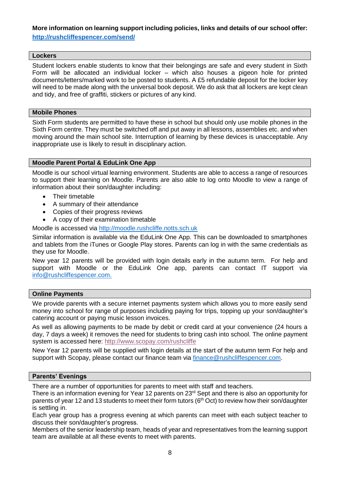#### **More information on learning support including policies, links and details of our school offer: <http://rushcliffespencer.com/send/>**

#### <span id="page-7-0"></span>**Lockers**

Student lockers enable students to know that their belongings are safe and every student in Sixth Form will be allocated an individual locker – which also houses a pigeon hole for printed documents/letters/marked work to be posted to students. A £5 refundable deposit for the locker key will need to be made along with the universal book deposit. We do ask that all lockers are kept clean and tidy, and free of graffiti, stickers or pictures of any kind.

#### <span id="page-7-1"></span>**Mobile Phones**

Sixth Form students are permitted to have these in school but should only use mobile phones in the Sixth Form centre. They must be switched off and put away in all lessons, assemblies etc. and when moving around the main school site. Interruption of learning by these devices is unacceptable. Any inappropriate use is likely to result in disciplinary action.

#### <span id="page-7-2"></span>**Moodle Parent Portal & EduLink One App**

Moodle is our school virtual learning environment. Students are able to access a range of resources to support their learning on Moodle. Parents are also able to log onto Moodle to view a range of information about their son/daughter including:

- Their timetable
- A summary of their attendance
- Copies of their progress reviews
- A copy of their examination timetable

Moodle is accessed via [http://moodle.rushcliffe.notts.sch.uk](http://moodle.rushcliffe.notts.sch.uk/)

Similar information is available via the EduLink One App. This can be downloaded to smartphones and tablets from the iTunes or Google Play stores. Parents can log in with the same credentials as they use for Moodle.

New year 12 parents will be provided with login details early in the autumn term. For help and support with Moodle or the EduLink One app, parents can contact IT support via [info@rushcliffespencer.com.](mailto:info@rushcliffespencer.com)

#### <span id="page-7-3"></span>**Online Payments**

We provide parents with a secure internet payments system which allows you to more easily send money into school for range of purposes including paying for trips, topping up your son/daughter's catering account or paying music lesson invoices.

As well as allowing payments to be made by debit or credit card at your convenience (24 hours a day, 7 days a week) it removes the need for students to bring cash into school. The online payment system is accessed here:<http://www.scopay.com/rushcliffe>

New Year 12 parents will be supplied with login details at the start of the autumn term For help and support with Scopay, please contact our finance team via [finance@rushcliffespencer.com.](mailto:finance@rushcliffespencer.com)

#### <span id="page-7-4"></span>**Parents' Evenings**

There are a number of opportunities for parents to meet with staff and teachers.

There is an information evening for Year 12 parents on 23<sup>rd</sup> Sept and there is also an opportunity for parents of year 12 and 13 students to meet their form tutors (6<sup>th</sup> Oct) to review how their son/daughter is settling in.

Each year group has a progress evening at which parents can meet with each subject teacher to discuss their son/daughter's progress.

Members of the senior leadership team, heads of year and representatives from the learning support team are available at all these events to meet with parents.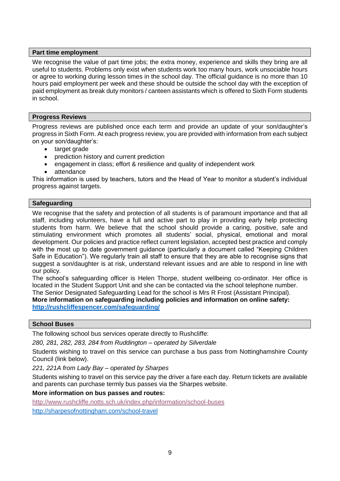#### <span id="page-8-0"></span>**Part time employment**

We recognise the value of part time jobs; the extra money, experience and skills they bring are all useful to students. Problems only exist when students work too many hours, work unsociable hours or agree to working during lesson times in the school day. The official guidance is no more than 10 hours paid employment per week and these should be outside the school day with the exception of paid employment as break duty monitors / canteen assistants which is offered to Sixth Form students in school.

#### <span id="page-8-1"></span>**Progress Reviews**

Progress reviews are published once each term and provide an update of your son/daughter's progress in Sixth Form. At each progress review, you are provided with information from each subject on your son/daughter's:

- target grade
- prediction history and current prediction
- engagement in class; effort & resilience and quality of independent work
- attendance

This information is used by teachers, tutors and the Head of Year to monitor a student's individual progress against targets.

#### <span id="page-8-2"></span>**Safeguarding**

We recognise that the safety and protection of all students is of paramount importance and that all staff, including volunteers, have a full and active part to play in providing early help protecting students from harm. We believe that the school should provide a caring, positive, safe and stimulating environment which promotes all students' social, physical, emotional and moral development. Our policies and practice reflect current legislation, accepted best practice and comply with the most up to date government guidance (particularly a document called "Keeping Children Safe in Education"). We regularly train all staff to ensure that they are able to recognise signs that suggest a son/daughter is at risk, understand relevant issues and are able to respond in line with our policy.

The school's safeguarding officer is Helen Thorpe, student wellbeing co-ordinator. Her office is located in the Student Support Unit and she can be contacted via the school telephone number.

The Senior Designated Safeguarding Lead for the school is Mrs R Frost (Assistant Principal). **More information on safeguarding including policies and information on online safety: <http://rushcliffespencer.com/safeguarding/>**

#### <span id="page-8-3"></span>**School Buses**

The following school bus services operate directly to Rushcliffe:

*280, 281, 282, 283, 284 from Ruddington – operated by Silverdale*

Students wishing to travel on this service can purchase a bus pass from Nottinghamshire County Council (link below).

*221, 221A from Lady Bay – operated by Sharpes*

Students wishing to travel on this service pay the driver a fare each day. Return tickets are available and parents can purchase termly bus passes via the Sharpes website.

#### **More information on bus passes and routes:**

<http://www.rushcliffe.notts.sch.uk/index.php/information/school-buses> <http://sharpesofnottingham.com/school-travel>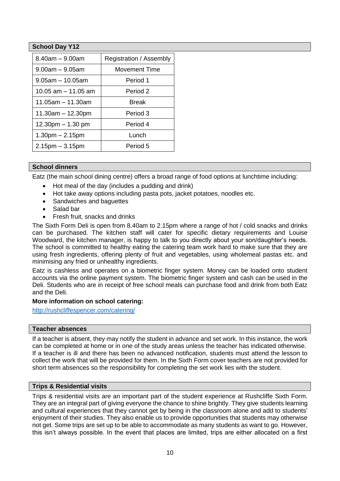#### <span id="page-9-0"></span>**School Day Y12**

| $8.40$ am $-9.00$ am   | Registration / Assembly |  |
|------------------------|-------------------------|--|
| $9.00am - 9.05am$      | <b>Movement Time</b>    |  |
| $9.05$ am $-10.05$ am  | Period 1                |  |
| 10.05 $am - 11.05$ am  | Period 2                |  |
| 11.05am - 11.30am      | <b>Break</b>            |  |
| $11.30am - 12.30pm$    | Period 3                |  |
| $12.30$ pm $- 1.30$ pm | Period 4                |  |
| $1.30pm - 2.15pm$      | Lunch                   |  |
| $2.15$ pm $-3.15$ pm   | Period 5                |  |

#### <span id="page-9-1"></span>**School dinners**

Eatz (the main school dining centre) offers a broad range of food options at lunchtime including:

- Hot meal of the day (includes a pudding and drink)
- Hot take away options including pasta pots, jacket potatoes, noodles etc.
- Sandwiches and baguettes
- Salad bar
- Fresh fruit, snacks and drinks

The Sixth Form Deli is open from 8.40am to 2.15pm where a range of hot / cold snacks and drinks can be purchased. The kitchen staff will cater for specific dietary requirements and Louise Woodward, the kitchen manager, is happy to talk to you directly about your son/daughter's needs. The school is committed to healthy eating the catering team work hard to make sure that they are using fresh ingredients, offering plenty of fruit and vegetables, using wholemeal pastas etc. and minimising any fried or unhealthy ingredients.

Eatz is cashless and operates on a biometric finger system. Money can be loaded onto student accounts via the online payment system. The biometric finger system and cash can be used in the Deli. Students who are in receipt of free school meals can purchase food and drink from both Eatz and the Deli.

#### **More information on school catering:**

<http://rushcliffespencer.com/catering/>

#### <span id="page-9-2"></span>**Teacher absences**

If a teacher is absent, they may notify the student in advance and set work. In this instance, the work can be completed at home or in one of the study areas unless the teacher has indicated otherwise. If a teacher is ill and there has been no advanced notification, students must attend the lesson to collect the work that will be provided for them. In the Sixth Form cover teachers are not provided for short term absences so the responsibility for completing the set work lies with the student.

#### <span id="page-9-3"></span>**Trips & Residential visits**

Trips & residential visits are an important part of the student experience at Rushcliffe Sixth Form. They are an integral part of giving everyone the chance to shine brightly. They give students learning and cultural experiences that they cannot get by being in the classroom alone and add to students' enjoyment of their studies. They also enable us to provide opportunities that students may otherwise not get. Some trips are set up to be able to accommodate as many students as want to go. However, this isn't always possible. In the event that places are limited, trips are either allocated on a first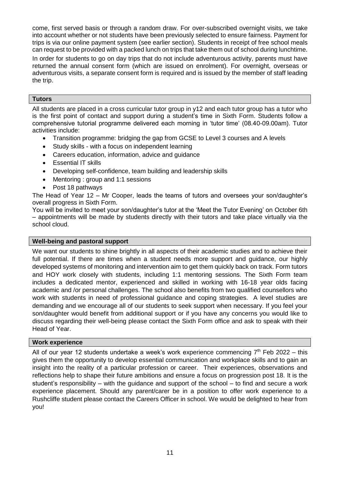come, first served basis or through a random draw. For over-subscribed overnight visits, we take into account whether or not students have been previously selected to ensure fairness. Payment for trips is via our online payment system (see earlier section). Students in receipt of free school meals can request to be provided with a packed lunch on trips that take them out of school during lunchtime.

In order for students to go on day trips that do not include adventurous activity, parents must have returned the annual consent form (which are issued on enrolment). For overnight, overseas or adventurous visits, a separate consent form is required and is issued by the member of staff leading the trip.

#### <span id="page-10-0"></span>**Tutors**

All students are placed in a cross curricular tutor group in y12 and each tutor group has a tutor who is the first point of contact and support during a student's time in Sixth Form. Students follow a comprehensive tutorial programme delivered each morning in 'tutor time' (08.40-09.00am). Tutor activities include:

- Transition programme: bridging the gap from GCSE to Level 3 courses and A levels
- Study skills with a focus on independent learning
- Careers education, information, advice and guidance
- Essential IT skills
- Developing self-confidence, team building and leadership skills
- Mentoring : group and 1:1 sessions
- Post 18 pathways

The Head of Year 12 – Mr Cooper, leads the teams of tutors and oversees your son/daughter's overall progress in Sixth Form.

You will be invited to meet your son/daughter's tutor at the 'Meet the Tutor Evening' on October 6th – appointments will be made by students directly with their tutors and take place virtually via the school cloud.

#### <span id="page-10-1"></span>**Well-being and pastoral support**

We want our students to shine brightly in all aspects of their academic studies and to achieve their full potential. If there are times when a student needs more support and guidance, our highly developed systems of monitoring and intervention aim to get them quickly back on track. Form tutors and HOY work closely with students, including 1:1 mentoring sessions. The Sixth Form team includes a dedicated mentor, experienced and skilled in working with 16-18 year olds facing academic and /or personal challenges. The school also benefits from two qualified counsellors who work with students in need of professional guidance and coping strategies. A level studies are demanding and we encourage all of our students to seek support when necessary. If you feel your son/daughter would benefit from additional support or if you have any concerns you would like to discuss regarding their well-being please contact the Sixth Form office and ask to speak with their Head of Year.

#### <span id="page-10-2"></span>**Work experience**

All of our year 12 students undertake a week's work experience commencing  $7<sup>th</sup>$  Feb 2022 – this gives them the opportunity to develop essential communication and workplace skills and to gain an insight into the reality of a particular profession or career. Their experiences, observations and reflections help to shape their future ambitions and ensure a focus on progression post 18. It is the student's responsibility – with the guidance and support of the school – to find and secure a work experience placement. Should any parent/carer be in a position to offer work experience to a Rushcliffe student please contact the Careers Officer in school. We would be delighted to hear from you!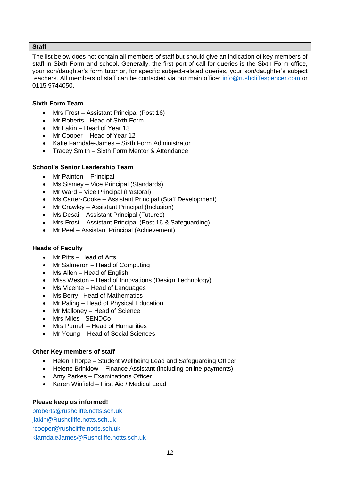#### <span id="page-11-0"></span>**Staff**

The list below does not contain all members of staff but should give an indication of key members of staff in Sixth Form and school. Generally, the first port of call for queries is the Sixth Form office, your son/daughter's form tutor or, for specific subject-related queries, your son/daughter's subject teachers. All members of staff can be contacted via our main office: [info@rushcliffespencer.com](mailto:info@rushcliffespencer.com) or 0115 9744050.

#### **Sixth Form Team**

- Mrs Frost Assistant Principal (Post 16)
- Mr Roberts Head of Sixth Form
- Mr Lakin Head of Year 13
- Mr Cooper Head of Year 12
- Katie Farndale-James Sixth Form Administrator
- Tracey Smith Sixth Form Mentor & Attendance

#### **School's Senior Leadership Team**

- Mr Painton Principal
- Ms Sismey Vice Principal (Standards)
- Mr Ward Vice Principal (Pastoral)
- Ms Carter-Cooke Assistant Principal (Staff Development)
- Mr Crawley Assistant Principal (Inclusion)
- Ms Desai Assistant Principal (Futures)
- Mrs Frost Assistant Principal (Post 16 & Safeguarding)
- Mr Peel Assistant Principal (Achievement)

#### **Heads of Faculty**

- Mr Pitts Head of Arts
- Mr Salmeron Head of Computing
- Ms Allen Head of English
- Miss Weston Head of Innovations (Design Technology)
- Ms Vicente Head of Languages
- Ms Berry– Head of Mathematics
- Mr Paling Head of Physical Education
- Mr Malloney Head of Science
- Mrs Miles SENDCo
- Mrs Purnell Head of Humanities
- Mr Young Head of Social Sciences

#### **Other Key members of staff**

- Helen Thorpe Student Wellbeing Lead and Safeguarding Officer
- Helene Brinklow Finance Assistant (including online payments)
- Amy Parkes Examinations Officer
- Karen Winfield First Aid / Medical Lead

#### **Please keep us informed!**

[broberts@rushcliffe.notts.sch.uk](mailto:broberts@rushcliffe.notts.sch.uk) [jlakin@Rushcliffe.notts.sch.uk](mailto:jlakin@Rushcliffe.notts.sch.uk) [rcooper@rushcliffe.notts.sch.uk](mailto:rcooper@rushcliffe.notts.sch.uk) [kfarndaleJames@Rushcliffe.notts.sch.uk](mailto:kfarndaleJames@Rushcliffe.notts.sch.uk)